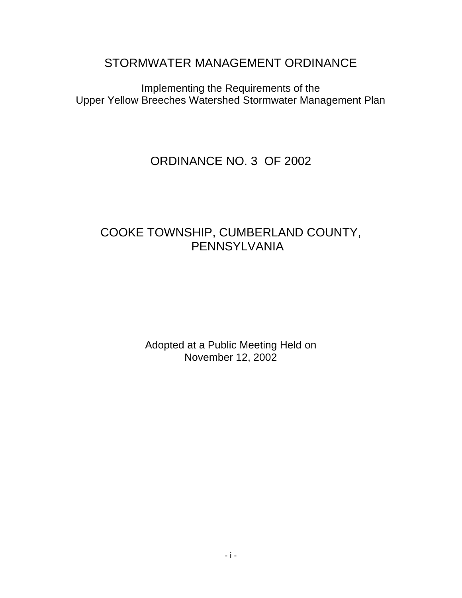STORMWATER MANAGEMENT ORDINANCE

Implementing the Requirements of the Upper Yellow Breeches Watershed Stormwater Management Plan

# ORDINANCE NO. 3 OF 2002

# COOKE TOWNSHIP, CUMBERLAND COUNTY, PENNSYLVANIA

Adopted at a Public Meeting Held on November 12, 2002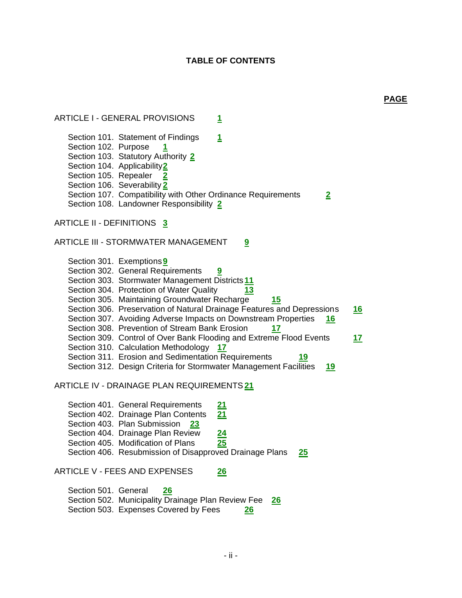## **TABLE OF CONTENTS**

**PAGE**

ARTICLE I - GENERAL PROVISIONS **1** Section 101. Statement of Findings 1 Section 102. Purpose **1** Section 103. Statutory Authority **2** Section 104. Applicability**2** Section 105. Repealer **2** Section 106. Severability **2** Section 107. Compatibility with Other Ordinance Requirements **2** Section 108. Landowner Responsibility **2** ARTICLE II - DEFINITIONS **3** ARTICLE III - STORMWATER MANAGEMENT **9** Section 301. Exemptions**9** Section 302. General Requirements **9** Section 303. Stormwater Management Districts**11** Section 304. Protection of Water Quality **13** Section 305. Maintaining Groundwater Recharge **15** Section 306. Preservation of Natural Drainage Features and Depressions **16** Section 307. Avoiding Adverse Impacts on Downstream Properties **16** Section 308. Prevention of Stream Bank Erosion **17** Section 309. Control of Over Bank Flooding and Extreme Flood Events **17** Section 310. Calculation Methodology **17** Section 311. Erosion and Sedimentation Requirements **19** Section 312. Design Criteria for Stormwater Management Facilities **19** ARTICLE IV - DRAINAGE PLAN REQUIREMENTS**21** Section 401. General Requirements **21** Section 402. Drainage Plan Contents **21** Section 403. Plan Submission **23** Section 404. Drainage Plan Review **24** Section 405. Modification of Plans **25** Section 406. Resubmission of Disapproved Drainage Plans **25** ARTICLE V - FEES AND EXPENSES **26** Section 501. General **26** Section 502. Municipality Drainage Plan Review Fee **26** Section 503. Expenses Covered by Fees **26**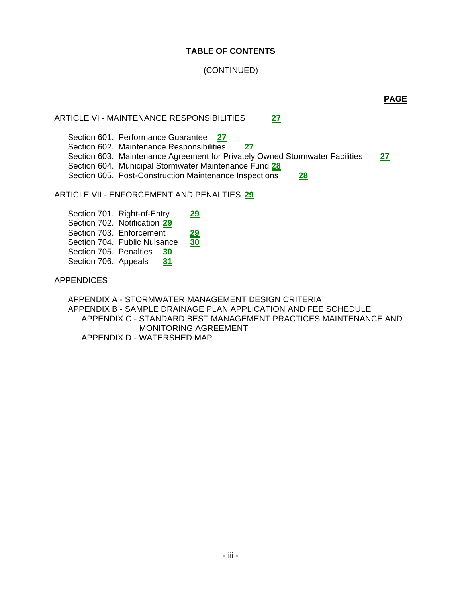# **TABLE OF CONTENTS**

# (CONTINUED)

ARTICLE VI - MAINTENANCE RESPONSIBILITIES **27**

Section 601. Performance Guarantee **27** Section 602. Maintenance Responsibilities **27** Section 603. Maintenance Agreement for Privately Owned Stormwater Facilities **27** Section 604. Municipal Stormwater Maintenance Fund **28** Section 605. Post-Construction Maintenance Inspections **28**

ARTICLE VII - ENFORCEMENT AND PENALTIES **29**

Section 701. Right-of-Entry 29 Section 702. Notification **29** Section 703. Enforcement 29 Section 704. Public Nuisance **30** Section 705. Penalties **30** Section 706. Appeals 31

APPENDICES

APPENDIX A - STORMWATER MANAGEMENT DESIGN CRITERIA APPENDIX B - SAMPLE DRAINAGE PLAN APPLICATION AND FEE SCHEDULE APPENDIX C - STANDARD BEST MANAGEMENT PRACTICES MAINTENANCE AND MONITORING AGREEMENT APPENDIX D - WATERSHED MAP

**PAGE**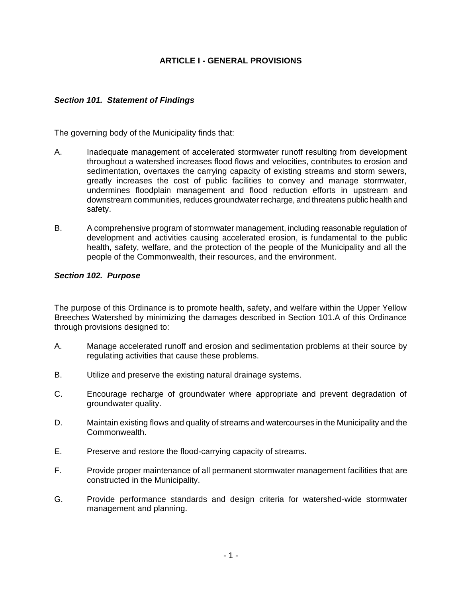# **ARTICLE I - GENERAL PROVISIONS**

## *Section 101. Statement of Findings*

The governing body of the Municipality finds that:

- A. Inadequate management of accelerated stormwater runoff resulting from development throughout a watershed increases flood flows and velocities, contributes to erosion and sedimentation, overtaxes the carrying capacity of existing streams and storm sewers, greatly increases the cost of public facilities to convey and manage stormwater, undermines floodplain management and flood reduction efforts in upstream and downstream communities, reduces groundwater recharge, and threatens public health and safety.
- B. A comprehensive program of stormwater management, including reasonable regulation of development and activities causing accelerated erosion, is fundamental to the public health, safety, welfare, and the protection of the people of the Municipality and all the people of the Commonwealth, their resources, and the environment.

### *Section 102. Purpose*

The purpose of this Ordinance is to promote health, safety, and welfare within the Upper Yellow Breeches Watershed by minimizing the damages described in Section 101.A of this Ordinance through provisions designed to:

- A. Manage accelerated runoff and erosion and sedimentation problems at their source by regulating activities that cause these problems.
- B. Utilize and preserve the existing natural drainage systems.
- C. Encourage recharge of groundwater where appropriate and prevent degradation of groundwater quality.
- D. Maintain existing flows and quality of streams and watercourses in the Municipality and the Commonwealth.
- E. Preserve and restore the flood-carrying capacity of streams.
- F. Provide proper maintenance of all permanent stormwater management facilities that are constructed in the Municipality.
- G. Provide performance standards and design criteria for watershed-wide stormwater management and planning.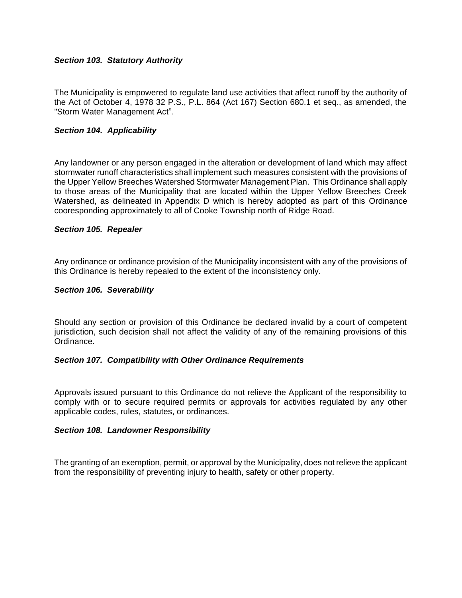## *Section 103. Statutory Authority*

The Municipality is empowered to regulate land use activities that affect runoff by the authority of the Act of October 4, 1978 32 P.S., P.L. 864 (Act 167) Section 680.1 et seq., as amended, the "Storm Water Management Act".

#### *Section 104. Applicability*

Any landowner or any person engaged in the alteration or development of land which may affect stormwater runoff characteristics shall implement such measures consistent with the provisions of the Upper Yellow Breeches Watershed Stormwater Management Plan. This Ordinance shall apply to those areas of the Municipality that are located within the Upper Yellow Breeches Creek Watershed, as delineated in Appendix D which is hereby adopted as part of this Ordinance cooresponding approximately to all of Cooke Township north of Ridge Road.

#### *Section 105. Repealer*

Any ordinance or ordinance provision of the Municipality inconsistent with any of the provisions of this Ordinance is hereby repealed to the extent of the inconsistency only.

#### *Section 106. Severability*

Should any section or provision of this Ordinance be declared invalid by a court of competent jurisdiction, such decision shall not affect the validity of any of the remaining provisions of this Ordinance.

#### *Section 107. Compatibility with Other Ordinance Requirements*

Approvals issued pursuant to this Ordinance do not relieve the Applicant of the responsibility to comply with or to secure required permits or approvals for activities regulated by any other applicable codes, rules, statutes, or ordinances.

#### *Section 108. Landowner Responsibility*

The granting of an exemption, permit, or approval by the Municipality, does not relieve the applicant from the responsibility of preventing injury to health, safety or other property.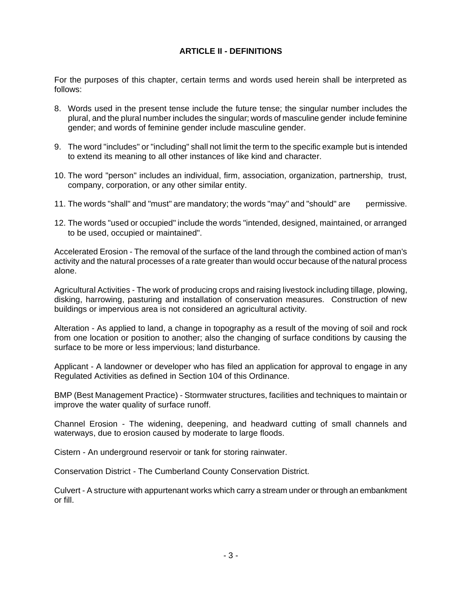# **ARTICLE II - DEFINITIONS**

For the purposes of this chapter, certain terms and words used herein shall be interpreted as follows:

- 8. Words used in the present tense include the future tense; the singular number includes the plural, and the plural number includes the singular; words of masculine gender include feminine gender; and words of feminine gender include masculine gender.
- 9. The word "includes" or "including" shall not limit the term to the specific example but is intended to extend its meaning to all other instances of like kind and character.
- 10. The word "person" includes an individual, firm, association, organization, partnership, trust, company, corporation, or any other similar entity.
- 11. The words "shall" and "must" are mandatory; the words "may" and "should" are permissive.
- 12. The words "used or occupied" include the words "intended, designed, maintained, or arranged to be used, occupied or maintained".

Accelerated Erosion - The removal of the surface of the land through the combined action of man's activity and the natural processes of a rate greater than would occur because of the natural process alone.

Agricultural Activities - The work of producing crops and raising livestock including tillage, plowing, disking, harrowing, pasturing and installation of conservation measures. Construction of new buildings or impervious area is not considered an agricultural activity.

Alteration - As applied to land, a change in topography as a result of the moving of soil and rock from one location or position to another; also the changing of surface conditions by causing the surface to be more or less impervious; land disturbance.

Applicant - A landowner or developer who has filed an application for approval to engage in any Regulated Activities as defined in Section 104 of this Ordinance.

BMP (Best Management Practice) - Stormwater structures, facilities and techniques to maintain or improve the water quality of surface runoff.

Channel Erosion - The widening, deepening, and headward cutting of small channels and waterways, due to erosion caused by moderate to large floods.

Cistern - An underground reservoir or tank for storing rainwater.

Conservation District - The Cumberland County Conservation District.

Culvert - A structure with appurtenant works which carry a stream under or through an embankment or fill.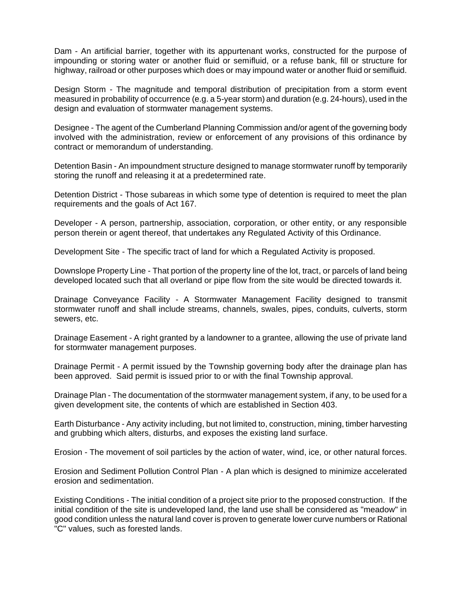Dam - An artificial barrier, together with its appurtenant works, constructed for the purpose of impounding or storing water or another fluid or semifluid, or a refuse bank, fill or structure for highway, railroad or other purposes which does or may impound water or another fluid or semifluid.

Design Storm - The magnitude and temporal distribution of precipitation from a storm event measured in probability of occurrence (e.g. a 5-year storm) and duration (e.g. 24-hours), used in the design and evaluation of stormwater management systems.

Designee - The agent of the Cumberland Planning Commission and/or agent of the governing body involved with the administration, review or enforcement of any provisions of this ordinance by contract or memorandum of understanding.

Detention Basin - An impoundment structure designed to manage stormwater runoff by temporarily storing the runoff and releasing it at a predetermined rate.

Detention District - Those subareas in which some type of detention is required to meet the plan requirements and the goals of Act 167.

Developer - A person, partnership, association, corporation, or other entity, or any responsible person therein or agent thereof, that undertakes any Regulated Activity of this Ordinance.

Development Site - The specific tract of land for which a Regulated Activity is proposed.

Downslope Property Line - That portion of the property line of the lot, tract, or parcels of land being developed located such that all overland or pipe flow from the site would be directed towards it.

Drainage Conveyance Facility - A Stormwater Management Facility designed to transmit stormwater runoff and shall include streams, channels, swales, pipes, conduits, culverts, storm sewers, etc.

Drainage Easement - A right granted by a landowner to a grantee, allowing the use of private land for stormwater management purposes.

Drainage Permit - A permit issued by the Township governing body after the drainage plan has been approved. Said permit is issued prior to or with the final Township approval.

Drainage Plan - The documentation of the stormwater management system, if any, to be used for a given development site, the contents of which are established in Section 403.

Earth Disturbance - Any activity including, but not limited to, construction, mining, timber harvesting and grubbing which alters, disturbs, and exposes the existing land surface.

Erosion - The movement of soil particles by the action of water, wind, ice, or other natural forces.

Erosion and Sediment Pollution Control Plan - A plan which is designed to minimize accelerated erosion and sedimentation.

Existing Conditions - The initial condition of a project site prior to the proposed construction. If the initial condition of the site is undeveloped land, the land use shall be considered as "meadow" in good condition unless the natural land cover is proven to generate lower curve numbers or Rational "C" values, such as forested lands.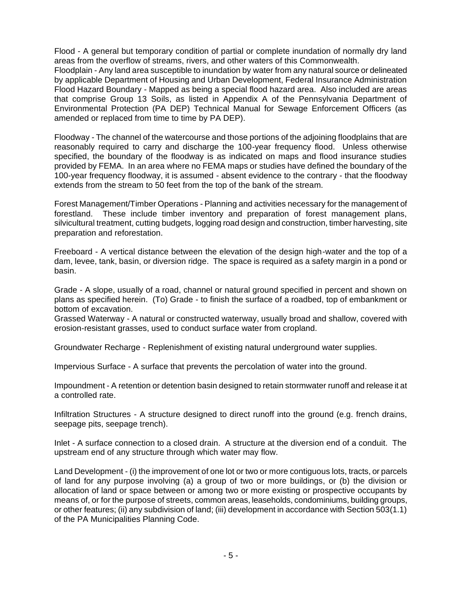Flood - A general but temporary condition of partial or complete inundation of normally dry land areas from the overflow of streams, rivers, and other waters of this Commonwealth.

Floodplain - Any land area susceptible to inundation by water from any natural source or delineated by applicable Department of Housing and Urban Development, Federal Insurance Administration Flood Hazard Boundary - Mapped as being a special flood hazard area. Also included are areas that comprise Group 13 Soils, as listed in Appendix A of the Pennsylvania Department of Environmental Protection (PA DEP) Technical Manual for Sewage Enforcement Officers (as amended or replaced from time to time by PA DEP).

Floodway - The channel of the watercourse and those portions of the adjoining floodplains that are reasonably required to carry and discharge the 100-year frequency flood. Unless otherwise specified, the boundary of the floodway is as indicated on maps and flood insurance studies provided by FEMA. In an area where no FEMA maps or studies have defined the boundary of the 100-year frequency floodway, it is assumed - absent evidence to the contrary - that the floodway extends from the stream to 50 feet from the top of the bank of the stream.

Forest Management/Timber Operations - Planning and activities necessary for the management of forestland. These include timber inventory and preparation of forest management plans, silvicultural treatment, cutting budgets, logging road design and construction, timber harvesting, site preparation and reforestation.

Freeboard - A vertical distance between the elevation of the design high-water and the top of a dam, levee, tank, basin, or diversion ridge. The space is required as a safety margin in a pond or basin.

Grade - A slope, usually of a road, channel or natural ground specified in percent and shown on plans as specified herein. (To) Grade - to finish the surface of a roadbed, top of embankment or bottom of excavation.

Grassed Waterway - A natural or constructed waterway, usually broad and shallow, covered with erosion-resistant grasses, used to conduct surface water from cropland.

Groundwater Recharge - Replenishment of existing natural underground water supplies.

Impervious Surface - A surface that prevents the percolation of water into the ground.

Impoundment - A retention or detention basin designed to retain stormwater runoff and release it at a controlled rate.

Infiltration Structures - A structure designed to direct runoff into the ground (e.g. french drains, seepage pits, seepage trench).

Inlet - A surface connection to a closed drain. A structure at the diversion end of a conduit. The upstream end of any structure through which water may flow.

Land Development - (i) the improvement of one lot or two or more contiguous lots, tracts, or parcels of land for any purpose involving (a) a group of two or more buildings, or (b) the division or allocation of land or space between or among two or more existing or prospective occupants by means of, or for the purpose of streets, common areas, leaseholds, condominiums, building groups, or other features; (ii) any subdivision of land; (iii) development in accordance with Section 503(1.1) of the PA Municipalities Planning Code.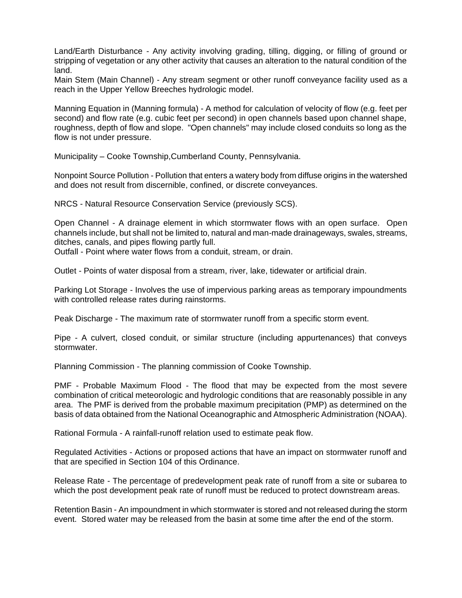Land/Earth Disturbance - Any activity involving grading, tilling, digging, or filling of ground or stripping of vegetation or any other activity that causes an alteration to the natural condition of the land.

Main Stem (Main Channel) - Any stream segment or other runoff conveyance facility used as a reach in the Upper Yellow Breeches hydrologic model.

Manning Equation in (Manning formula) - A method for calculation of velocity of flow (e.g. feet per second) and flow rate (e.g. cubic feet per second) in open channels based upon channel shape, roughness, depth of flow and slope. "Open channels" may include closed conduits so long as the flow is not under pressure.

Municipality – Cooke Township,Cumberland County, Pennsylvania.

Nonpoint Source Pollution - Pollution that enters a watery body from diffuse origins in the watershed and does not result from discernible, confined, or discrete conveyances.

NRCS - Natural Resource Conservation Service (previously SCS).

Open Channel - A drainage element in which stormwater flows with an open surface. Open channels include, but shall not be limited to, natural and man-made drainageways, swales, streams, ditches, canals, and pipes flowing partly full.

Outfall - Point where water flows from a conduit, stream, or drain.

Outlet - Points of water disposal from a stream, river, lake, tidewater or artificial drain.

Parking Lot Storage - Involves the use of impervious parking areas as temporary impoundments with controlled release rates during rainstorms.

Peak Discharge - The maximum rate of stormwater runoff from a specific storm event.

Pipe - A culvert, closed conduit, or similar structure (including appurtenances) that conveys stormwater.

Planning Commission - The planning commission of Cooke Township.

PMF - Probable Maximum Flood - The flood that may be expected from the most severe combination of critical meteorologic and hydrologic conditions that are reasonably possible in any area. The PMF is derived from the probable maximum precipitation (PMP) as determined on the basis of data obtained from the National Oceanographic and Atmospheric Administration (NOAA).

Rational Formula - A rainfall-runoff relation used to estimate peak flow.

Regulated Activities - Actions or proposed actions that have an impact on stormwater runoff and that are specified in Section 104 of this Ordinance.

Release Rate - The percentage of predevelopment peak rate of runoff from a site or subarea to which the post development peak rate of runoff must be reduced to protect downstream areas.

Retention Basin - An impoundment in which stormwater is stored and not released during the storm event. Stored water may be released from the basin at some time after the end of the storm.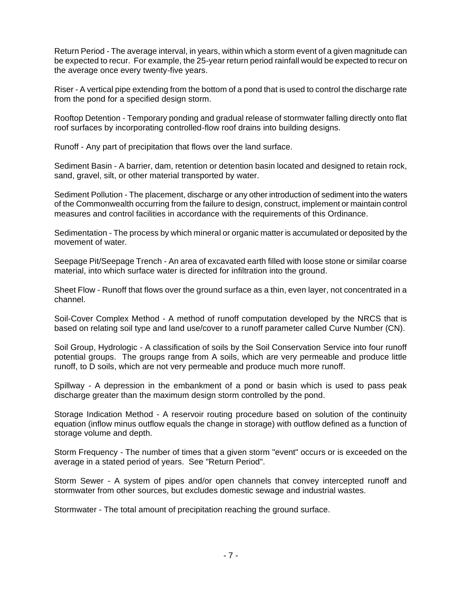Return Period - The average interval, in years, within which a storm event of a given magnitude can be expected to recur. For example, the 25-year return period rainfall would be expected to recur on the average once every twenty-five years.

Riser - A vertical pipe extending from the bottom of a pond that is used to control the discharge rate from the pond for a specified design storm.

Rooftop Detention - Temporary ponding and gradual release of stormwater falling directly onto flat roof surfaces by incorporating controlled-flow roof drains into building designs.

Runoff - Any part of precipitation that flows over the land surface.

Sediment Basin - A barrier, dam, retention or detention basin located and designed to retain rock, sand, gravel, silt, or other material transported by water.

Sediment Pollution - The placement, discharge or any other introduction of sediment into the waters of the Commonwealth occurring from the failure to design, construct, implement or maintain control measures and control facilities in accordance with the requirements of this Ordinance.

Sedimentation - The process by which mineral or organic matter is accumulated or deposited by the movement of water.

Seepage Pit/Seepage Trench - An area of excavated earth filled with loose stone or similar coarse material, into which surface water is directed for infiltration into the ground.

Sheet Flow - Runoff that flows over the ground surface as a thin, even layer, not concentrated in a channel.

Soil-Cover Complex Method - A method of runoff computation developed by the NRCS that is based on relating soil type and land use/cover to a runoff parameter called Curve Number (CN).

Soil Group, Hydrologic - A classification of soils by the Soil Conservation Service into four runoff potential groups. The groups range from A soils, which are very permeable and produce little runoff, to D soils, which are not very permeable and produce much more runoff.

Spillway - A depression in the embankment of a pond or basin which is used to pass peak discharge greater than the maximum design storm controlled by the pond.

Storage Indication Method - A reservoir routing procedure based on solution of the continuity equation (inflow minus outflow equals the change in storage) with outflow defined as a function of storage volume and depth.

Storm Frequency - The number of times that a given storm "event" occurs or is exceeded on the average in a stated period of years. See "Return Period".

Storm Sewer - A system of pipes and/or open channels that convey intercepted runoff and stormwater from other sources, but excludes domestic sewage and industrial wastes.

Stormwater - The total amount of precipitation reaching the ground surface.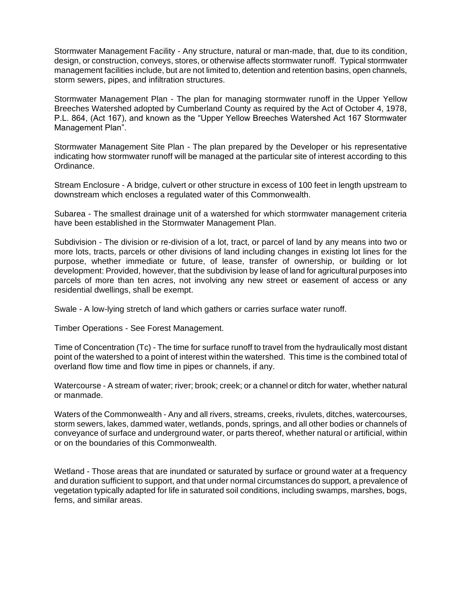Stormwater Management Facility - Any structure, natural or man-made, that, due to its condition, design, or construction, conveys, stores, or otherwise affects stormwater runoff. Typical stormwater management facilities include, but are not limited to, detention and retention basins, open channels, storm sewers, pipes, and infiltration structures.

Stormwater Management Plan - The plan for managing stormwater runoff in the Upper Yellow Breeches Watershed adopted by Cumberland County as required by the Act of October 4, 1978, P.L. 864, (Act 167), and known as the "Upper Yellow Breeches Watershed Act 167 Stormwater Management Plan".

Stormwater Management Site Plan - The plan prepared by the Developer or his representative indicating how stormwater runoff will be managed at the particular site of interest according to this Ordinance.

Stream Enclosure - A bridge, culvert or other structure in excess of 100 feet in length upstream to downstream which encloses a regulated water of this Commonwealth.

Subarea - The smallest drainage unit of a watershed for which stormwater management criteria have been established in the Stormwater Management Plan.

Subdivision - The division or re-division of a lot, tract, or parcel of land by any means into two or more lots, tracts, parcels or other divisions of land including changes in existing lot lines for the purpose, whether immediate or future, of lease, transfer of ownership, or building or lot development: Provided, however, that the subdivision by lease of land for agricultural purposes into parcels of more than ten acres, not involving any new street or easement of access or any residential dwellings, shall be exempt.

Swale - A low-lying stretch of land which gathers or carries surface water runoff.

Timber Operations - See Forest Management.

Time of Concentration (Tc) - The time for surface runoff to travel from the hydraulically most distant point of the watershed to a point of interest within the watershed. This time is the combined total of overland flow time and flow time in pipes or channels, if any.

Watercourse - A stream of water; river; brook; creek; or a channel or ditch for water, whether natural or manmade.

Waters of the Commonwealth - Any and all rivers, streams, creeks, rivulets, ditches, watercourses, storm sewers, lakes, dammed water, wetlands, ponds, springs, and all other bodies or channels of conveyance of surface and underground water, or parts thereof, whether natural or artificial, within or on the boundaries of this Commonwealth.

Wetland - Those areas that are inundated or saturated by surface or ground water at a frequency and duration sufficient to support, and that under normal circumstances do support, a prevalence of vegetation typically adapted for life in saturated soil conditions, including swamps, marshes, bogs, ferns, and similar areas.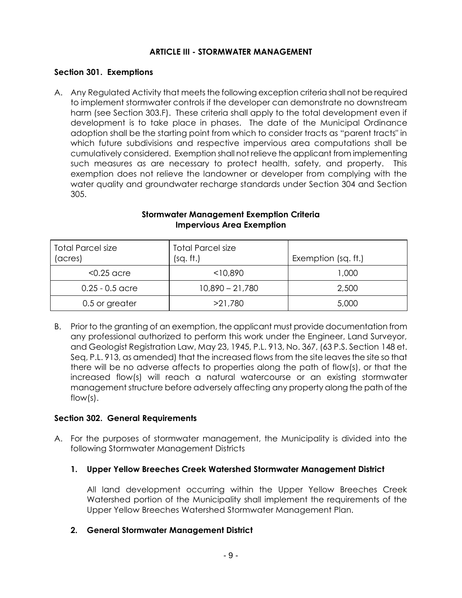# **ARTICLE III - STORMWATER MANAGEMENT**

# **Section 301. Exemptions**

A. Any Regulated Activity that meets the following exception criteria shall not be required to implement stormwater controls if the developer can demonstrate no downstream harm (see Section 303.F). These criteria shall apply to the total development even if development is to take place in phases. The date of the Municipal Ordinance adoption shall be the starting point from which to consider tracts as "parent tracts" in which future subdivisions and respective impervious area computations shall be cumulatively considered. Exemption shall not relieve the applicant from implementing such measures as are necessary to protect health, safety, and property. This exemption does not relieve the landowner or developer from complying with the water quality and groundwater recharge standards under Section 304 and Section 305.

| <b>Total Parcel size</b><br>(acres) | <b>Total Parcel size</b><br>(sq. ft.) | Exemption (sq. ft.) |
|-------------------------------------|---------------------------------------|---------------------|
| $<$ 0.25 acre                       | $<$ 10,890                            | 000, ا              |
| $0.25 - 0.5$ acre                   | $10,890 - 21,780$                     | 2,500               |
| 0.5 or greater                      | >21,780                               | 5,000               |

# **Stormwater Management Exemption Criteria Impervious Area Exemption**

B. Prior to the granting of an exemption, the applicant must provide documentation from any professional authorized to perform this work under the Engineer, Land Surveyor, and Geologist Registration Law, May 23, 1945, P.L. 913, No. 367, (63 P.S. Section 148 et. Seq, P.L. 913, as amended) that the increased flows from the site leaves the site so that there will be no adverse affects to properties along the path of flow(s), or that the increased flow(s) will reach a natural watercourse or an existing stormwater management structure before adversely affecting any property along the path of the flow(s).

## **Section 302. General Requirements**

A. For the purposes of stormwater management, the Municipality is divided into the following Stormwater Management Districts

# **1. Upper Yellow Breeches Creek Watershed Stormwater Management District**

All land development occurring within the Upper Yellow Breeches Creek Watershed portion of the Municipality shall implement the requirements of the Upper Yellow Breeches Watershed Stormwater Management Plan.

# **2. General Stormwater Management District**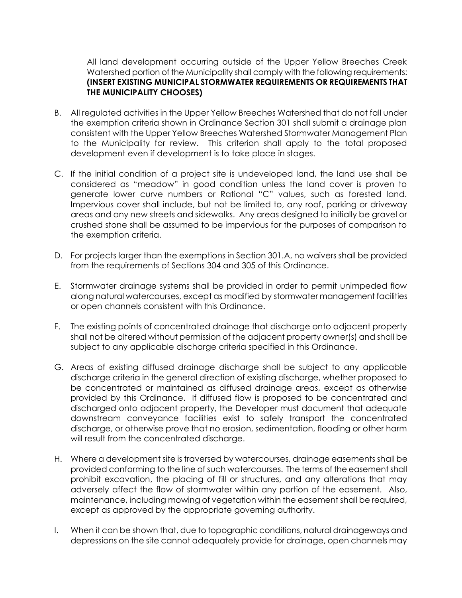All land development occurring outside of the Upper Yellow Breeches Creek Watershed portion of the Municipality shall comply with the following requirements: **(INSERT EXISTING MUNICIPAL STORMWATER REQUIREMENTS OR REQUIREMENTS THAT THE MUNICIPALITY CHOOSES)**

- B. All regulated activities in the Upper Yellow Breeches Watershed that do not fall under the exemption criteria shown in Ordinance Section 301 shall submit a drainage plan consistent with the Upper Yellow Breeches Watershed Stormwater Management Plan to the Municipality for review. This criterion shall apply to the total proposed development even if development is to take place in stages.
- C. If the initial condition of a project site is undeveloped land, the land use shall be considered as "meadow" in good condition unless the land cover is proven to generate lower curve numbers or Rational "C" values, such as forested land. Impervious cover shall include, but not be limited to, any roof, parking or driveway areas and any new streets and sidewalks. Any areas designed to initially be gravel or crushed stone shall be assumed to be impervious for the purposes of comparison to the exemption criteria.
- D. For projects larger than the exemptions in Section 301.A, no waivers shall be provided from the requirements of Sections 304 and 305 of this Ordinance.
- E. Stormwater drainage systems shall be provided in order to permit unimpeded flow along natural watercourses, except as modified by stormwater management facilities or open channels consistent with this Ordinance.
- F. The existing points of concentrated drainage that discharge onto adjacent property shall not be altered without permission of the adjacent property owner(s) and shall be subject to any applicable discharge criteria specified in this Ordinance.
- G. Areas of existing diffused drainage discharge shall be subject to any applicable discharge criteria in the general direction of existing discharge, whether proposed to be concentrated or maintained as diffused drainage areas, except as otherwise provided by this Ordinance. If diffused flow is proposed to be concentrated and discharged onto adjacent property, the Developer must document that adequate downstream conveyance facilities exist to safely transport the concentrated discharge, or otherwise prove that no erosion, sedimentation, flooding or other harm will result from the concentrated discharge.
- H. Where a development site is traversed by watercourses, drainage easements shall be provided conforming to the line of such watercourses. The terms of the easement shall prohibit excavation, the placing of fill or structures, and any alterations that may adversely affect the flow of stormwater within any portion of the easement. Also, maintenance, including mowing of vegetation within the easement shall be required, except as approved by the appropriate governing authority.
- I. When it can be shown that, due to topographic conditions, natural drainageways and depressions on the site cannot adequately provide for drainage, open channels may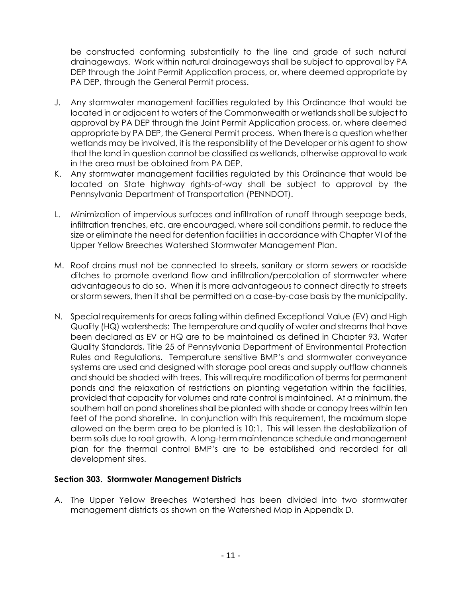be constructed conforming substantially to the line and grade of such natural drainageways. Work within natural drainageways shall be subject to approval by PA DEP through the Joint Permit Application process, or, where deemed appropriate by PA DEP, through the General Permit process.

- J. Any stormwater management facilities regulated by this Ordinance that would be located in or adjacent to waters of the Commonwealth or wetlands shall be subject to approval by PA DEP through the Joint Permit Application process, or, where deemed appropriate by PA DEP, the General Permit process. When there is a question whether wetlands may be involved, it is the responsibility of the Developer or his agent to show that the land in question cannot be classified as wetlands, otherwise approval to work in the area must be obtained from PA DEP.
- K. Any stormwater management facilities regulated by this Ordinance that would be located on State highway rights-of-way shall be subject to approval by the Pennsylvania Department of Transportation (PENNDOT).
- L. Minimization of impervious surfaces and infiltration of runoff through seepage beds, infiltration trenches, etc. are encouraged, where soil conditions permit, to reduce the size or eliminate the need for detention facilities in accordance with Chapter VI of the Upper Yellow Breeches Watershed Stormwater Management Plan.
- M. Roof drains must not be connected to streets, sanitary or storm sewers or roadside ditches to promote overland flow and infiltration/percolation of stormwater where advantageous to do so. When it is more advantageous to connect directly to streets or storm sewers, then it shall be permitted on a case-by-case basis by the municipality.
- N. Special requirements for areas falling within defined Exceptional Value (EV) and High Quality (HQ) watersheds: The temperature and quality of water and streams that have been declared as EV or HQ are to be maintained as defined in Chapter 93, Water Quality Standards, Title 25 of Pennsylvania Department of Environmental Protection Rules and Regulations. Temperature sensitive BMP's and stormwater conveyance systems are used and designed with storage pool areas and supply outflow channels and should be shaded with trees. This will require modification of berms for permanent ponds and the relaxation of restrictions on planting vegetation within the facilities, provided that capacity for volumes and rate control is maintained. At a minimum, the southern half on pond shorelines shall be planted with shade or canopy trees within ten feet of the pond shoreline. In conjunction with this requirement, the maximum slope allowed on the berm area to be planted is 10:1. This will lessen the destabilization of berm soils due to root growth. A long-term maintenance schedule and management plan for the thermal control BMP's are to be established and recorded for all development sites.

## **Section 303. Stormwater Management Districts**

A. The Upper Yellow Breeches Watershed has been divided into two stormwater management districts as shown on the Watershed Map in Appendix D.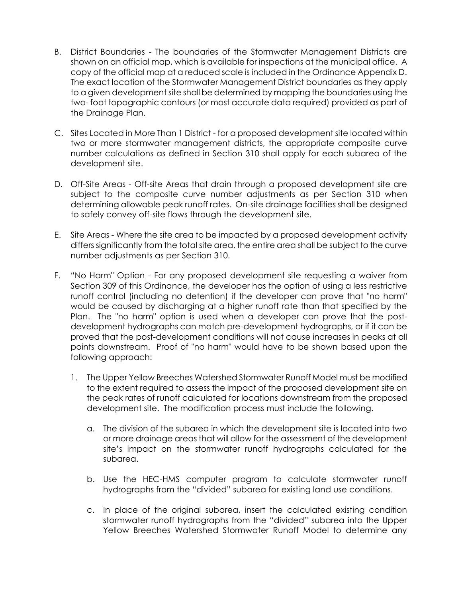- B. District Boundaries The boundaries of the Stormwater Management Districts are shown on an official map, which is available for inspections at the municipal office. A copy of the official map at a reduced scale is included in the Ordinance Appendix D. The exact location of the Stormwater Management District boundaries as they apply to a given development site shall be determined by mapping the boundaries using the two- foot topographic contours (or most accurate data required) provided as part of the Drainage Plan.
- C. Sites Located in More Than 1 District for a proposed development site located within two or more stormwater management districts, the appropriate composite curve number calculations as defined in Section 310 shall apply for each subarea of the development site.
- D. Off-Site Areas Off-site Areas that drain through a proposed development site are subject to the composite curve number adjustments as per Section 310 when determining allowable peak runoff rates. On-site drainage facilities shall be designed to safely convey off-site flows through the development site.
- E. Site Areas Where the site area to be impacted by a proposed development activity differs significantly from the total site area, the entire area shall be subject to the curve number adjustments as per Section 310.
- F. "No Harm" Option For any proposed development site requesting a waiver from Section 309 of this Ordinance, the developer has the option of using a less restrictive runoff control (including no detention) if the developer can prove that "no harm" would be caused by discharging at a higher runoff rate than that specified by the Plan. The "no harm" option is used when a developer can prove that the postdevelopment hydrographs can match pre-development hydrographs, or if it can be proved that the post-development conditions will not cause increases in peaks at all points downstream. Proof of "no harm" would have to be shown based upon the following approach:
	- 1. The Upper Yellow Breeches Watershed Stormwater Runoff Model must be modified to the extent required to assess the impact of the proposed development site on the peak rates of runoff calculated for locations downstream from the proposed development site. The modification process must include the following.
		- a. The division of the subarea in which the development site is located into two or more drainage areas that will allow for the assessment of the development site's impact on the stormwater runoff hydrographs calculated for the subarea.
		- b. Use the HEC-HMS computer program to calculate stormwater runoff hydrographs from the "divided" subarea for existing land use conditions.
		- c. In place of the original subarea, insert the calculated existing condition stormwater runoff hydrographs from the "divided" subarea into the Upper Yellow Breeches Watershed Stormwater Runoff Model to determine any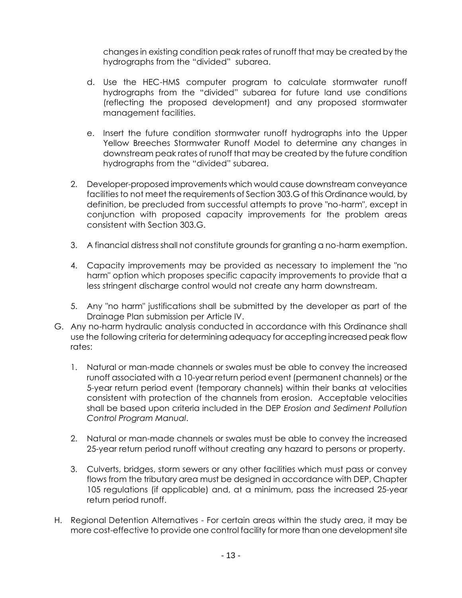changes in existing condition peak rates of runoff that may be created by the hydrographs from the "divided" subarea.

- d. Use the HEC-HMS computer program to calculate stormwater runoff hydrographs from the "divided" subarea for future land use conditions (reflecting the proposed development) and any proposed stormwater management facilities.
- e. Insert the future condition stormwater runoff hydrographs into the Upper Yellow Breeches Stormwater Runoff Model to determine any changes in downstream peak rates of runoff that may be created by the future condition hydrographs from the "divided" subarea.
- 2. Developer-proposed improvements which would cause downstream conveyance facilities to not meet the requirements of Section 303.G of this Ordinance would, by definition, be precluded from successful attempts to prove "no-harm", except in conjunction with proposed capacity improvements for the problem areas consistent with Section 303.G.
- 3. A financial distress shall not constitute grounds for granting a no-harm exemption.
- 4. Capacity improvements may be provided as necessary to implement the "no harm" option which proposes specific capacity improvements to provide that a less stringent discharge control would not create any harm downstream.
- 5. Any "no harm" justifications shall be submitted by the developer as part of the Drainage Plan submission per Article IV.
- G. Any no-harm hydraulic analysis conducted in accordance with this Ordinance shall use the following criteria for determining adequacy for accepting increased peak flow rates:
	- 1. Natural or man-made channels or swales must be able to convey the increased runoff associated with a 10-year return period event (permanent channels) or the 5-year return period event (temporary channels) within their banks at velocities consistent with protection of the channels from erosion. Acceptable velocities shall be based upon criteria included in the DEP *Erosion and Sediment Pollution Control Program Manual*.
	- 2. Natural or man-made channels or swales must be able to convey the increased 25-year return period runoff without creating any hazard to persons or property.
	- 3. Culverts, bridges, storm sewers or any other facilities which must pass or convey flows from the tributary area must be designed in accordance with DEP, Chapter 105 regulations (if applicable) and, at a minimum, pass the increased 25-year return period runoff.
- H. Regional Detention Alternatives For certain areas within the study area, it may be more cost-effective to provide one control facility for more than one development site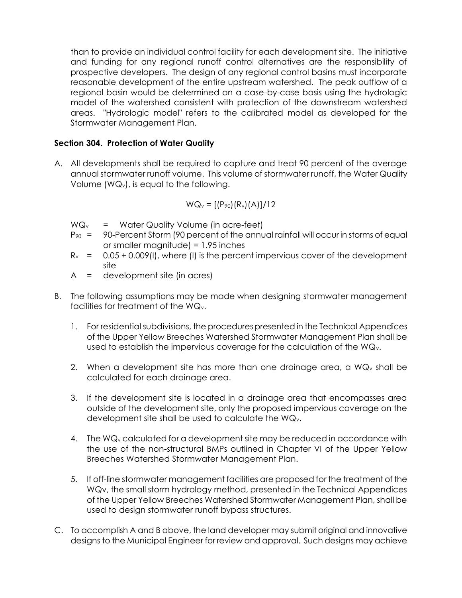than to provide an individual control facility for each development site. The initiative and funding for any regional runoff control alternatives are the responsibility of prospective developers. The design of any regional control basins must incorporate reasonable development of the entire upstream watershed. The peak outflow of a regional basin would be determined on a case-by-case basis using the hydrologic model of the watershed consistent with protection of the downstream watershed areas. "Hydrologic model" refers to the calibrated model as developed for the Stormwater Management Plan.

# **Section 304. Protection of Water Quality**

A. All developments shall be required to capture and treat 90 percent of the average annual stormwater runoff volume. This volume of stormwater runoff, the Water Quality Volume (WQv), is equal to the following.

$$
WQ_v = [(P_{90})(R_v)(A)]/12
$$

 $WQ_v$  = Water Quality Volume (in acre-feet)

- $P_{90}$  = 90-Percent Storm (90 percent of the annual rainfall will occur in storms of equal or smaller magnitude) = 1.95 inches
- $R<sub>v</sub> = 0.05 + 0.009(1)$ , where (I) is the percent impervious cover of the development site
- A = development site (in acres)
- B. The following assumptions may be made when designing stormwater management facilities for treatment of the WQv.
	- 1. For residential subdivisions, the procedures presented in the Technical Appendices of the Upper Yellow Breeches Watershed Stormwater Management Plan shall be used to establish the impervious coverage for the calculation of the WQv.
	- 2. When a development site has more than one drainage area, a  $WQ_v$  shall be calculated for each drainage area.
	- 3. If the development site is located in a drainage area that encompasses area outside of the development site, only the proposed impervious coverage on the development site shall be used to calculate the WQv.
	- 4. The WQ<sup>v</sup> calculated for a development site may be reduced in accordance with the use of the non-structural BMPs outlined in Chapter VI of the Upper Yellow Breeches Watershed Stormwater Management Plan.
	- 5. If off-line stormwater management facilities are proposed for the treatment of the WQv, the small storm hydrology method, presented in the Technical Appendices of the Upper Yellow Breeches Watershed Stormwater Management Plan, shall be used to design stormwater runoff bypass structures.
- C. To accomplish A and B above, the land developer may submit original and innovative designs to the Municipal Engineer for review and approval. Such designs may achieve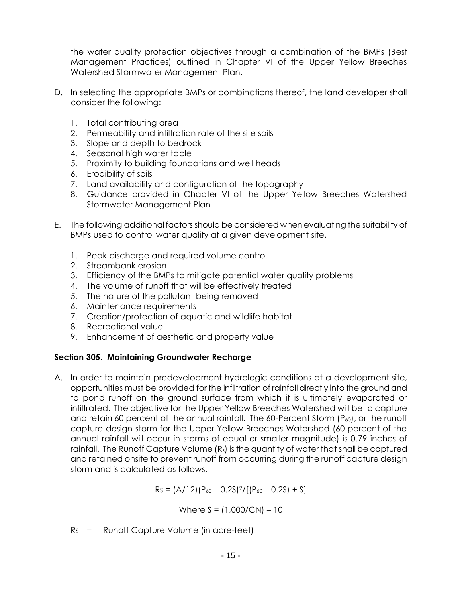the water quality protection objectives through a combination of the BMPs (Best Management Practices) outlined in Chapter VI of the Upper Yellow Breeches Watershed Stormwater Management Plan.

- D. In selecting the appropriate BMPs or combinations thereof, the land developer shall consider the following:
	- 1. Total contributing area
	- 2. Permeability and infiltration rate of the site soils
	- 3. Slope and depth to bedrock
	- 4. Seasonal high water table
	- 5. Proximity to building foundations and well heads
	- 6. Erodibility of soils
	- 7. Land availability and configuration of the topography
	- 8. Guidance provided in Chapter VI of the Upper Yellow Breeches Watershed Stormwater Management Plan
- E. The following additional factors should be considered when evaluating the suitability of BMPs used to control water quality at a given development site.
	- 1. Peak discharge and required volume control
	- 2. Streambank erosion
	- 3. Efficiency of the BMPs to mitigate potential water quality problems
	- 4. The volume of runoff that will be effectively treated
	- 5. The nature of the pollutant being removed
	- 6. Maintenance requirements
	- 7. Creation/protection of aquatic and wildlife habitat
	- 8. Recreational value
	- 9. Enhancement of aesthetic and property value

# **Section 305. Maintaining Groundwater Recharge**

A. In order to maintain predevelopment hydrologic conditions at a development site, opportunities must be provided for the infiltration of rainfall directly into the ground and to pond runoff on the ground surface from which it is ultimately evaporated or infiltrated. The objective for the Upper Yellow Breeches Watershed will be to capture and retain 60 percent of the annual rainfall. The 60-Percent Storm (P<sub>60</sub>), or the runoff capture design storm for the Upper Yellow Breeches Watershed (60 percent of the annual rainfall will occur in storms of equal or smaller magnitude) is 0.79 inches of rainfall. The Runoff Capture Volume (Rs) is the quantity of water that shall be captured and retained onsite to prevent runoff from occurring during the runoff capture design storm and is calculated as follows.

 $Rs = (A/12)(P_{60} - 0.2S)^2/[(P_{60} - 0.2S) + S]$ 

Where  $S = (1,000/CN) - 10$ 

Rs = Runoff Capture Volume (in acre-feet)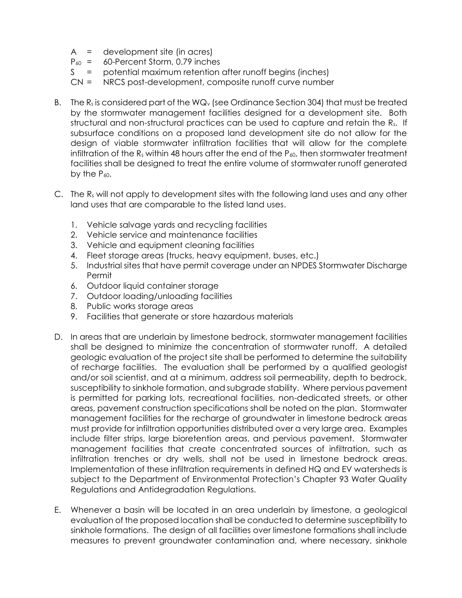- A = development site (in acres)
- $P_{60}$  = 60-Percent Storm, 0.79 inches
- S = potential maximum retention after runoff begins (inches)
- CN = NRCS post-development, composite runoff curve number
- B. The  $R_s$  is considered part of the WQ<sub>v</sub> (see Ordinance Section 304) that must be treated by the stormwater management facilities designed for a development site. Both structural and non-structural practices can be used to capture and retain the Rs. If subsurface conditions on a proposed land development site do not allow for the design of viable stormwater infiltration facilities that will allow for the complete infiltration of the  $R_s$  within 48 hours after the end of the  $P_{60}$ , then stormwater treatment facilities shall be designed to treat the entire volume of stormwater runoff generated by the  $P_{60}$ .
- C. The  $R_s$  will not apply to development sites with the following land uses and any other land uses that are comparable to the listed land uses.
	- 1. Vehicle salvage yards and recycling facilities
	- 2. Vehicle service and maintenance facilities
	- 3. Vehicle and equipment cleaning facilities
	- 4. Fleet storage areas (trucks, heavy equipment, buses, etc.)
	- 5. Industrial sites that have permit coverage under an NPDES Stormwater Discharge Permit
	- 6. Outdoor liquid container storage
	- 7. Outdoor loading/unloading facilities
	- 8. Public works storage areas
	- 9. Facilities that generate or store hazardous materials
- D. In areas that are underlain by limestone bedrock, stormwater management facilities shall be designed to minimize the concentration of stormwater runoff. A detailed geologic evaluation of the project site shall be performed to determine the suitability of recharge facilities. The evaluation shall be performed by a qualified geologist and/or soil scientist, and at a minimum, address soil permeability, depth to bedrock, susceptibility to sinkhole formation, and subgrade stability. Where pervious pavement is permitted for parking lots, recreational facilities, non-dedicated streets, or other areas, pavement construction specifications shall be noted on the plan. Stormwater management facilities for the recharge of groundwater in limestone bedrock areas must provide for infiltration opportunities distributed over a very large area. Examples include filter strips, large bioretention areas, and pervious pavement. Stormwater management facilities that create concentrated sources of infiltration, such as infiltration trenches or dry wells, shall not be used in limestone bedrock areas. Implementation of these infiltration requirements in defined HQ and EV watersheds is subject to the Department of Environmental Protection's Chapter 93 Water Quality Regulations and Antidegradation Regulations.
- E. Whenever a basin will be located in an area underlain by limestone, a geological evaluation of the proposed location shall be conducted to determine susceptibility to sinkhole formations. The design of all facilities over limestone formations shall include measures to prevent groundwater contamination and, where necessary, sinkhole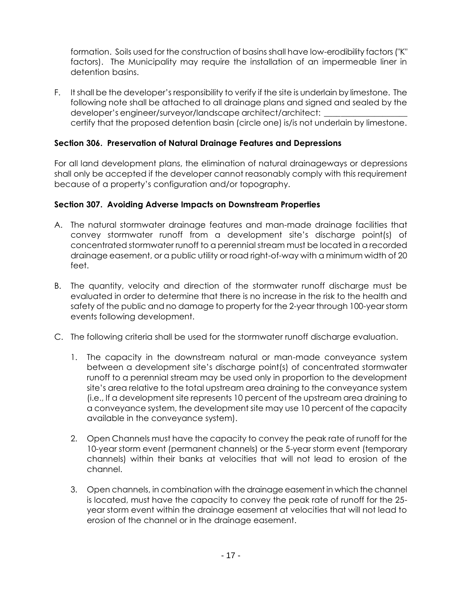formation. Soils used for the construction of basins shall have low-erodibility factors ("K" factors). The Municipality may require the installation of an impermeable liner in detention basins.

F. It shall be the developer's responsibility to verify if the site is underlain by limestone. The following note shall be attached to all drainage plans and signed and sealed by the developer's engineer/surveyor/landscape architect/architect: certify that the proposed detention basin (circle one) is/is not underlain by limestone.

# **Section 306. Preservation of Natural Drainage Features and Depressions**

For all land development plans, the elimination of natural drainageways or depressions shall only be accepted if the developer cannot reasonably comply with this requirement because of a property's configuration and/or topography.

# **Section 307. Avoiding Adverse Impacts on Downstream Properties**

- A. The natural stormwater drainage features and man-made drainage facilities that convey stormwater runoff from a development site's discharge point(s) of concentrated stormwater runoff to a perennial stream must be located in a recorded drainage easement, or a public utility or road right-of-way with a minimum width of 20 feet.
- B. The quantity, velocity and direction of the stormwater runoff discharge must be evaluated in order to determine that there is no increase in the risk to the health and safety of the public and no damage to property for the 2-year through 100-year storm events following development.
- C. The following criteria shall be used for the stormwater runoff discharge evaluation.
	- 1. The capacity in the downstream natural or man-made conveyance system between a development site's discharge point(s) of concentrated stormwater runoff to a perennial stream may be used only in proportion to the development site's area relative to the total upstream area draining to the conveyance system (i.e., If a development site represents 10 percent of the upstream area draining to a conveyance system, the development site may use 10 percent of the capacity available in the conveyance system).
	- 2. Open Channels must have the capacity to convey the peak rate of runoff for the 10-year storm event (permanent channels) or the 5-year storm event (temporary channels) within their banks at velocities that will not lead to erosion of the channel.
	- 3. Open channels, in combination with the drainage easement in which the channel is located, must have the capacity to convey the peak rate of runoff for the 25 year storm event within the drainage easement at velocities that will not lead to erosion of the channel or in the drainage easement.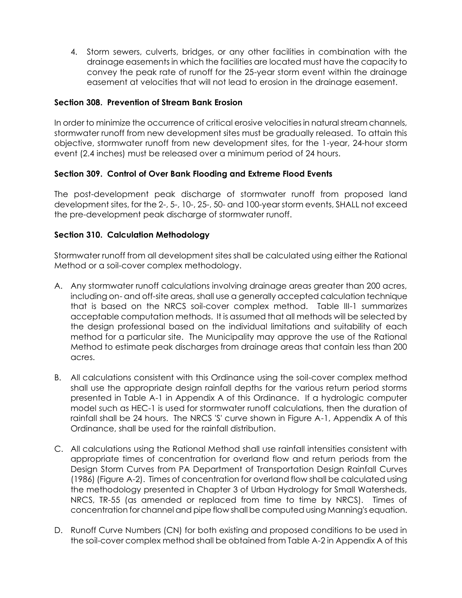4. Storm sewers, culverts, bridges, or any other facilities in combination with the drainage easements in which the facilities are located must have the capacity to convey the peak rate of runoff for the 25-year storm event within the drainage easement at velocities that will not lead to erosion in the drainage easement.

# **Section 308. Prevention of Stream Bank Erosion**

In order to minimize the occurrence of critical erosive velocities in natural stream channels, stormwater runoff from new development sites must be gradually released. To attain this objective, stormwater runoff from new development sites, for the 1-year, 24-hour storm event (2.4 inches) must be released over a minimum period of 24 hours.

# **Section 309. Control of Over Bank Flooding and Extreme Flood Events**

The post-development peak discharge of stormwater runoff from proposed land development sites, for the 2-, 5-, 10-, 25-, 50- and 100-year storm events, SHALL not exceed the pre-development peak discharge of stormwater runoff.

# **Section 310. Calculation Methodology**

Stormwater runoff from all development sites shall be calculated using either the Rational Method or a soil-cover complex methodology.

- A. Any stormwater runoff calculations involving drainage areas greater than 200 acres, including on- and off-site areas, shall use a generally accepted calculation technique that is based on the NRCS soil-cover complex method. Table III-1 summarizes acceptable computation methods. It is assumed that all methods will be selected by the design professional based on the individual limitations and suitability of each method for a particular site. The Municipality may approve the use of the Rational Method to estimate peak discharges from drainage areas that contain less than 200 acres.
- B. All calculations consistent with this Ordinance using the soil-cover complex method shall use the appropriate design rainfall depths for the various return period storms presented in Table A-1 in Appendix A of this Ordinance. If a hydrologic computer model such as HEC-1 is used for stormwater runoff calculations, then the duration of rainfall shall be 24 hours. The NRCS 'S' curve shown in Figure A-1, Appendix A of this Ordinance, shall be used for the rainfall distribution.
- C. All calculations using the Rational Method shall use rainfall intensities consistent with appropriate times of concentration for overland flow and return periods from the Design Storm Curves from PA Department of Transportation Design Rainfall Curves (1986) (Figure A-2). Times of concentration for overland flow shall be calculated using the methodology presented in Chapter 3 of Urban Hydrology for Small Watersheds, NRCS, TR-55 (as amended or replaced from time to time by NRCS). Times of concentration for channel and pipe flow shall be computed using Manning's equation.
- D. Runoff Curve Numbers (CN) for both existing and proposed conditions to be used in the soil-cover complex method shall be obtained from Table A-2 in Appendix A of this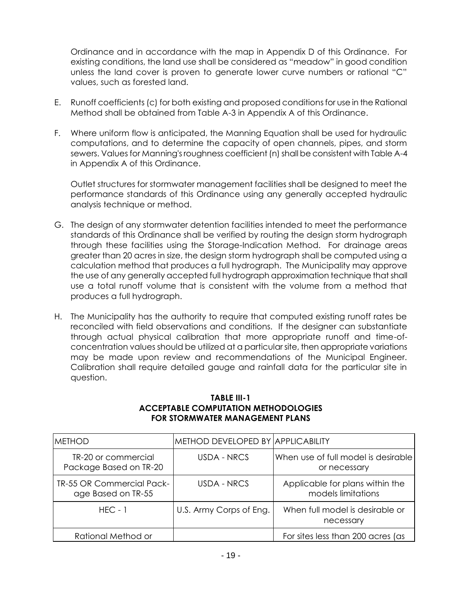Ordinance and in accordance with the map in Appendix D of this Ordinance. For existing conditions, the land use shall be considered as "meadow" in good condition unless the land cover is proven to generate lower curve numbers or rational "C" values, such as forested land.

- E. Runoff coefficients (c) for both existing and proposed conditions for use in the Rational Method shall be obtained from Table A-3 in Appendix A of this Ordinance.
- F. Where uniform flow is anticipated, the Manning Equation shall be used for hydraulic computations, and to determine the capacity of open channels, pipes, and storm sewers. Values for Manning's roughness coefficient (n) shall be consistent with Table A-4 in Appendix A of this Ordinance.

Outlet structures for stormwater management facilities shall be designed to meet the performance standards of this Ordinance using any generally accepted hydraulic analysis technique or method.

- G. The design of any stormwater detention facilities intended to meet the performance standards of this Ordinance shall be verified by routing the design storm hydrograph through these facilities using the Storage-Indication Method. For drainage areas greater than 20 acres in size, the design storm hydrograph shall be computed using a calculation method that produces a full hydrograph. The Municipality may approve the use of any generally accepted full hydrograph approximation technique that shall use a total runoff volume that is consistent with the volume from a method that produces a full hydrograph.
- H. The Municipality has the authority to require that computed existing runoff rates be reconciled with field observations and conditions. If the designer can substantiate through actual physical calibration that more appropriate runoff and time-ofconcentration values should be utilized at a particular site, then appropriate variations may be made upon review and recommendations of the Municipal Engineer. Calibration shall require detailed gauge and rainfall data for the particular site in question.

| METHOD                                                 | METHOD DEVELOPED BY   APPLICABILITY |                                                       |
|--------------------------------------------------------|-------------------------------------|-------------------------------------------------------|
| TR-20 or commercial<br>Package Based on TR-20          | USDA - NRCS                         | When use of full model is desirable<br>or necessary   |
| <b>TR-55 OR Commercial Pack-</b><br>age Based on TR-55 | USDA - NRCS                         | Applicable for plans within the<br>models limitations |
| $HFC - 1$                                              | U.S. Army Corps of Eng.             | When full model is desirable or<br>necessary          |
| Rational Method or                                     |                                     | For sites less than 200 acres (as                     |

# **TABLE III-1 ACCEPTABLE COMPUTATION METHODOLOGIES FOR STORMWATER MANAGEMENT PLANS**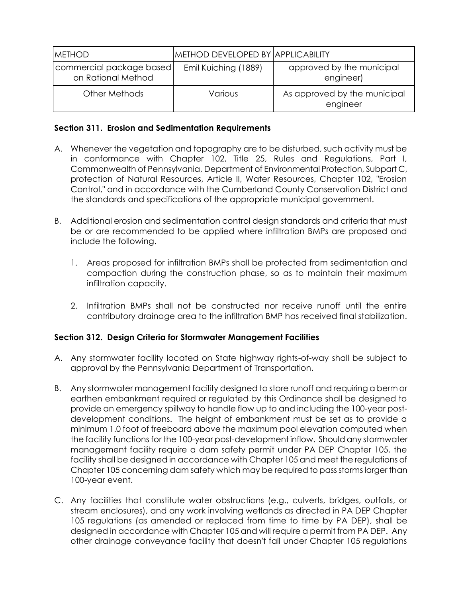| <b>METHOD</b>                                  | <b>METHOD DEVELOPED BY APPLICABILITY</b> |                                          |
|------------------------------------------------|------------------------------------------|------------------------------------------|
| commercial package based<br>on Rational Method | Emil Kuiching (1889)                     | approved by the municipal<br>engineer)   |
| Other Methods                                  | Various                                  | As approved by the municipal<br>engineer |

## **Section 311. Erosion and Sedimentation Requirements**

- A. Whenever the vegetation and topography are to be disturbed, such activity must be in conformance with Chapter 102, Title 25, Rules and Regulations, Part I, Commonwealth of Pennsylvania, Department of Environmental Protection, Subpart C, protection of Natural Resources, Article II, Water Resources, Chapter 102, "Erosion Control," and in accordance with the Cumberland County Conservation District and the standards and specifications of the appropriate municipal government.
- B. Additional erosion and sedimentation control design standards and criteria that must be or are recommended to be applied where infiltration BMPs are proposed and include the following.
	- 1. Areas proposed for infiltration BMPs shall be protected from sedimentation and compaction during the construction phase, so as to maintain their maximum infiltration capacity.
	- 2. Infiltration BMPs shall not be constructed nor receive runoff until the entire contributory drainage area to the infiltration BMP has received final stabilization.

# **Section 312. Design Criteria for Stormwater Management Facilities**

- A. Any stormwater facility located on State highway rights-of-way shall be subject to approval by the Pennsylvania Department of Transportation.
- B. Any stormwater management facility designed to store runoff and requiring a berm or earthen embankment required or regulated by this Ordinance shall be designed to provide an emergency spillway to handle flow up to and including the 100-year postdevelopment conditions. The height of embankment must be set as to provide a minimum 1.0 foot of freeboard above the maximum pool elevation computed when the facility functions for the 100-year post-development inflow. Should any stormwater management facility require a dam safety permit under PA DEP Chapter 105, the facility shall be designed in accordance with Chapter 105 and meet the regulations of Chapter 105 concerning dam safety which may be required to pass storms larger than 100-year event.
- C. Any facilities that constitute water obstructions (e.g., culverts, bridges, outfalls, or stream enclosures), and any work involving wetlands as directed in PA DEP Chapter 105 regulations (as amended or replaced from time to time by PA DEP), shall be designed in accordance with Chapter 105 and will require a permit from PA DEP. Any other drainage conveyance facility that doesn't fall under Chapter 105 regulations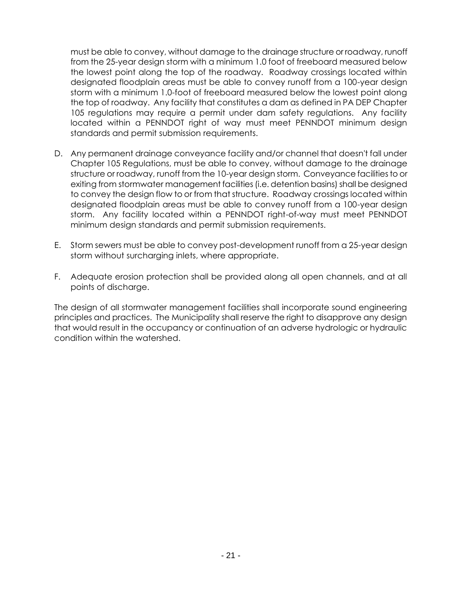must be able to convey, without damage to the drainage structure or roadway, runoff from the 25-year design storm with a minimum 1.0 foot of freeboard measured below the lowest point along the top of the roadway. Roadway crossings located within designated floodplain areas must be able to convey runoff from a 100-year design storm with a minimum 1.0-foot of freeboard measured below the lowest point along the top of roadway. Any facility that constitutes a dam as defined in PA DEP Chapter 105 regulations may require a permit under dam safety regulations. Any facility located within a PENNDOT right of way must meet PENNDOT minimum design standards and permit submission requirements.

- D. Any permanent drainage conveyance facility and/or channel that doesn't fall under Chapter 105 Regulations, must be able to convey, without damage to the drainage structure or roadway, runoff from the 10-year design storm. Conveyance facilities to or exiting from stormwater management facilities (i.e. detention basins) shall be designed to convey the design flow to or from that structure. Roadway crossings located within designated floodplain areas must be able to convey runoff from a 100-year design storm. Any facility located within a PENNDOT right-of-way must meet PENNDOT minimum design standards and permit submission requirements.
- E. Storm sewers must be able to convey post-development runoff from a 25-year design storm without surcharging inlets, where appropriate.
- F. Adequate erosion protection shall be provided along all open channels, and at all points of discharge.

The design of all stormwater management facilities shall incorporate sound engineering principles and practices. The Municipality shall reserve the right to disapprove any design that would result in the occupancy or continuation of an adverse hydrologic or hydraulic condition within the watershed.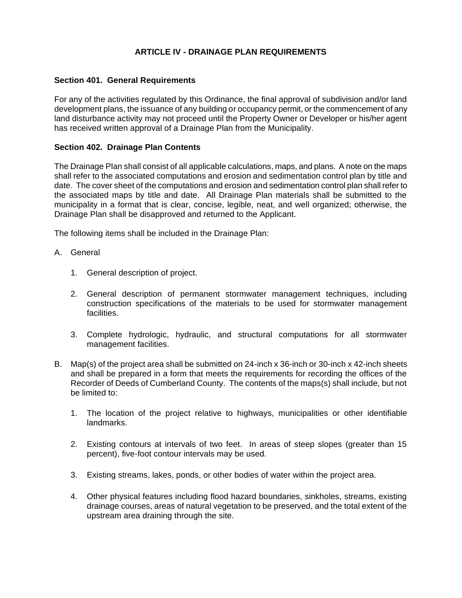## **ARTICLE IV - DRAINAGE PLAN REQUIREMENTS**

### **Section 401. General Requirements**

For any of the activities regulated by this Ordinance, the final approval of subdivision and/or land development plans, the issuance of any building or occupancy permit, or the commencement of any land disturbance activity may not proceed until the Property Owner or Developer or his/her agent has received written approval of a Drainage Plan from the Municipality.

## **Section 402. Drainage Plan Contents**

The Drainage Plan shall consist of all applicable calculations, maps, and plans. A note on the maps shall refer to the associated computations and erosion and sedimentation control plan by title and date. The cover sheet of the computations and erosion and sedimentation control plan shall refer to the associated maps by title and date. All Drainage Plan materials shall be submitted to the municipality in a format that is clear, concise, legible, neat, and well organized; otherwise, the Drainage Plan shall be disapproved and returned to the Applicant.

The following items shall be included in the Drainage Plan:

- A. General
	- 1. General description of project.
	- 2. General description of permanent stormwater management techniques, including construction specifications of the materials to be used for stormwater management facilities.
	- 3. Complete hydrologic, hydraulic, and structural computations for all stormwater management facilities.
- B. Map(s) of the project area shall be submitted on 24-inch x 36-inch or 30-inch x 42-inch sheets and shall be prepared in a form that meets the requirements for recording the offices of the Recorder of Deeds of Cumberland County. The contents of the maps(s) shall include, but not be limited to:
	- 1. The location of the project relative to highways, municipalities or other identifiable landmarks.
	- 2. Existing contours at intervals of two feet. In areas of steep slopes (greater than 15 percent), five-foot contour intervals may be used.
	- 3. Existing streams, lakes, ponds, or other bodies of water within the project area.
	- 4. Other physical features including flood hazard boundaries, sinkholes, streams, existing drainage courses, areas of natural vegetation to be preserved, and the total extent of the upstream area draining through the site.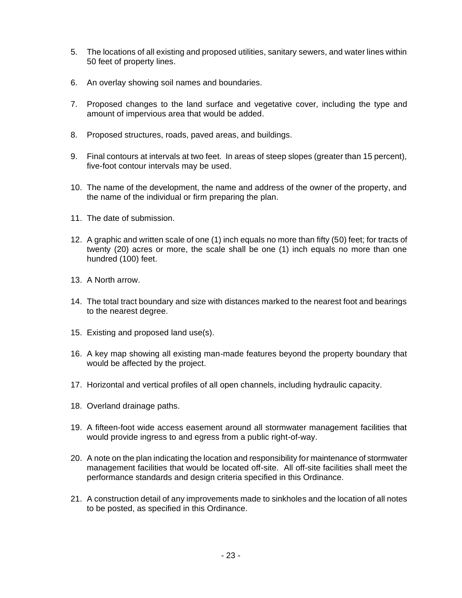- 5. The locations of all existing and proposed utilities, sanitary sewers, and water lines within 50 feet of property lines.
- 6. An overlay showing soil names and boundaries.
- 7. Proposed changes to the land surface and vegetative cover, including the type and amount of impervious area that would be added.
- 8. Proposed structures, roads, paved areas, and buildings.
- 9. Final contours at intervals at two feet. In areas of steep slopes (greater than 15 percent), five-foot contour intervals may be used.
- 10. The name of the development, the name and address of the owner of the property, and the name of the individual or firm preparing the plan.
- 11. The date of submission.
- 12. A graphic and written scale of one (1) inch equals no more than fifty (50) feet; for tracts of twenty (20) acres or more, the scale shall be one (1) inch equals no more than one hundred (100) feet.
- 13. A North arrow.
- 14. The total tract boundary and size with distances marked to the nearest foot and bearings to the nearest degree.
- 15. Existing and proposed land use(s).
- 16. A key map showing all existing man-made features beyond the property boundary that would be affected by the project.
- 17. Horizontal and vertical profiles of all open channels, including hydraulic capacity.
- 18. Overland drainage paths.
- 19. A fifteen-foot wide access easement around all stormwater management facilities that would provide ingress to and egress from a public right-of-way.
- 20. A note on the plan indicating the location and responsibility for maintenance of stormwater management facilities that would be located off-site. All off-site facilities shall meet the performance standards and design criteria specified in this Ordinance.
- 21. A construction detail of any improvements made to sinkholes and the location of all notes to be posted, as specified in this Ordinance.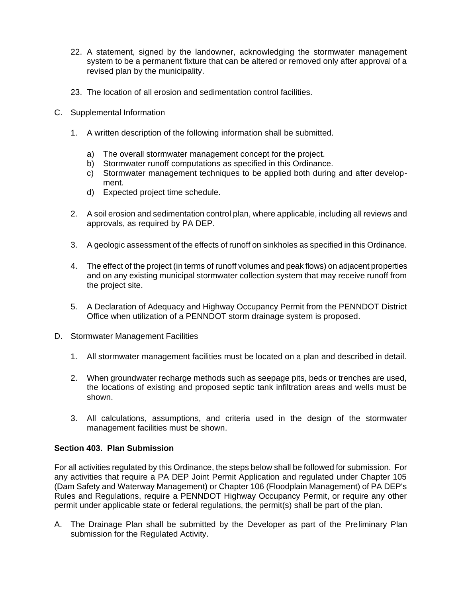- 22. A statement, signed by the landowner, acknowledging the stormwater management system to be a permanent fixture that can be altered or removed only after approval of a revised plan by the municipality.
- 23. The location of all erosion and sedimentation control facilities.
- C. Supplemental Information
	- 1. A written description of the following information shall be submitted.
		- a) The overall stormwater management concept for the project.
		- b) Stormwater runoff computations as specified in this Ordinance.
		- c) Stormwater management techniques to be applied both during and after development.
		- d) Expected project time schedule.
	- 2. A soil erosion and sedimentation control plan, where applicable, including all reviews and approvals, as required by PA DEP.
	- 3. A geologic assessment of the effects of runoff on sinkholes as specified in this Ordinance.
	- 4. The effect of the project (in terms of runoff volumes and peak flows) on adjacent properties and on any existing municipal stormwater collection system that may receive runoff from the project site.
	- 5. A Declaration of Adequacy and Highway Occupancy Permit from the PENNDOT District Office when utilization of a PENNDOT storm drainage system is proposed.
- D. Stormwater Management Facilities
	- 1. All stormwater management facilities must be located on a plan and described in detail.
	- 2. When groundwater recharge methods such as seepage pits, beds or trenches are used, the locations of existing and proposed septic tank infiltration areas and wells must be shown.
	- 3. All calculations, assumptions, and criteria used in the design of the stormwater management facilities must be shown.

#### **Section 403. Plan Submission**

For all activities regulated by this Ordinance, the steps below shall be followed for submission. For any activities that require a PA DEP Joint Permit Application and regulated under Chapter 105 (Dam Safety and Waterway Management) or Chapter 106 (Floodplain Management) of PA DEP's Rules and Regulations, require a PENNDOT Highway Occupancy Permit, or require any other permit under applicable state or federal regulations, the permit(s) shall be part of the plan.

A. The Drainage Plan shall be submitted by the Developer as part of the Preliminary Plan submission for the Regulated Activity.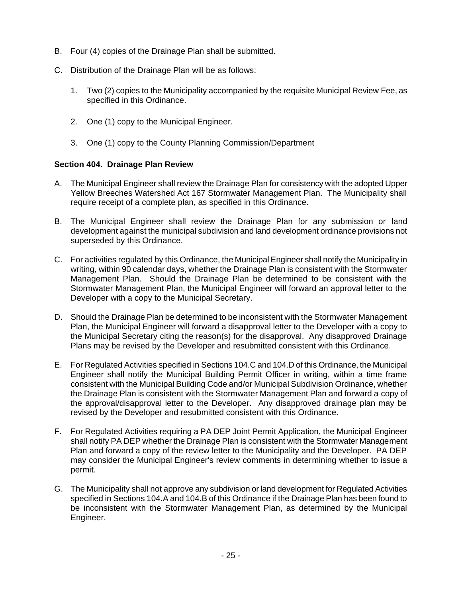- B. Four (4) copies of the Drainage Plan shall be submitted.
- C. Distribution of the Drainage Plan will be as follows:
	- 1. Two (2) copies to the Municipality accompanied by the requisite Municipal Review Fee, as specified in this Ordinance.
	- 2. One (1) copy to the Municipal Engineer.
	- 3. One (1) copy to the County Planning Commission/Department

## **Section 404. Drainage Plan Review**

- A. The Municipal Engineer shall review the Drainage Plan for consistency with the adopted Upper Yellow Breeches Watershed Act 167 Stormwater Management Plan. The Municipality shall require receipt of a complete plan, as specified in this Ordinance.
- B. The Municipal Engineer shall review the Drainage Plan for any submission or land development against the municipal subdivision and land development ordinance provisions not superseded by this Ordinance.
- C. For activities regulated by this Ordinance, the Municipal Engineer shall notify the Municipality in writing, within 90 calendar days, whether the Drainage Plan is consistent with the Stormwater Management Plan. Should the Drainage Plan be determined to be consistent with the Stormwater Management Plan, the Municipal Engineer will forward an approval letter to the Developer with a copy to the Municipal Secretary.
- D. Should the Drainage Plan be determined to be inconsistent with the Stormwater Management Plan, the Municipal Engineer will forward a disapproval letter to the Developer with a copy to the Municipal Secretary citing the reason(s) for the disapproval. Any disapproved Drainage Plans may be revised by the Developer and resubmitted consistent with this Ordinance.
- E. For Regulated Activities specified in Sections 104.C and 104.D of this Ordinance, the Municipal Engineer shall notify the Municipal Building Permit Officer in writing, within a time frame consistent with the Municipal Building Code and/or Municipal Subdivision Ordinance, whether the Drainage Plan is consistent with the Stormwater Management Plan and forward a copy of the approval/disapproval letter to the Developer. Any disapproved drainage plan may be revised by the Developer and resubmitted consistent with this Ordinance.
- F. For Regulated Activities requiring a PA DEP Joint Permit Application, the Municipal Engineer shall notify PA DEP whether the Drainage Plan is consistent with the Stormwater Management Plan and forward a copy of the review letter to the Municipality and the Developer. PA DEP may consider the Municipal Engineer's review comments in determining whether to issue a permit.
- G. The Municipality shall not approve any subdivision or land development for Regulated Activities specified in Sections 104.A and 104.B of this Ordinance if the Drainage Plan has been found to be inconsistent with the Stormwater Management Plan, as determined by the Municipal Engineer.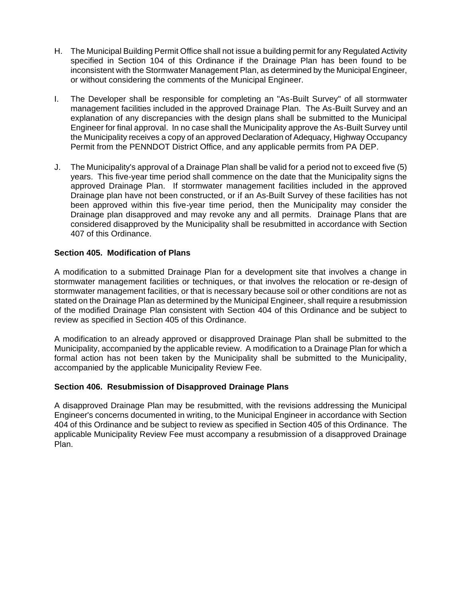- H. The Municipal Building Permit Office shall not issue a building permit for any Regulated Activity specified in Section 104 of this Ordinance if the Drainage Plan has been found to be inconsistent with the Stormwater Management Plan, as determined by the Municipal Engineer, or without considering the comments of the Municipal Engineer.
- I. The Developer shall be responsible for completing an "As-Built Survey" of all stormwater management facilities included in the approved Drainage Plan. The As-Built Survey and an explanation of any discrepancies with the design plans shall be submitted to the Municipal Engineer for final approval. In no case shall the Municipality approve the As-Built Survey until the Municipality receives a copy of an approved Declaration of Adequacy, Highway Occupancy Permit from the PENNDOT District Office, and any applicable permits from PA DEP.
- J. The Municipality's approval of a Drainage Plan shall be valid for a period not to exceed five (5) years. This five-year time period shall commence on the date that the Municipality signs the approved Drainage Plan. If stormwater management facilities included in the approved Drainage plan have not been constructed, or if an As-Built Survey of these facilities has not been approved within this five-year time period, then the Municipality may consider the Drainage plan disapproved and may revoke any and all permits. Drainage Plans that are considered disapproved by the Municipality shall be resubmitted in accordance with Section 407 of this Ordinance.

## **Section 405. Modification of Plans**

A modification to a submitted Drainage Plan for a development site that involves a change in stormwater management facilities or techniques, or that involves the relocation or re-design of stormwater management facilities, or that is necessary because soil or other conditions are not as stated on the Drainage Plan as determined by the Municipal Engineer, shall require a resubmission of the modified Drainage Plan consistent with Section 404 of this Ordinance and be subject to review as specified in Section 405 of this Ordinance.

A modification to an already approved or disapproved Drainage Plan shall be submitted to the Municipality, accompanied by the applicable review. A modification to a Drainage Plan for which a formal action has not been taken by the Municipality shall be submitted to the Municipality, accompanied by the applicable Municipality Review Fee.

## **Section 406. Resubmission of Disapproved Drainage Plans**

A disapproved Drainage Plan may be resubmitted, with the revisions addressing the Municipal Engineer's concerns documented in writing, to the Municipal Engineer in accordance with Section 404 of this Ordinance and be subject to review as specified in Section 405 of this Ordinance. The applicable Municipality Review Fee must accompany a resubmission of a disapproved Drainage Plan.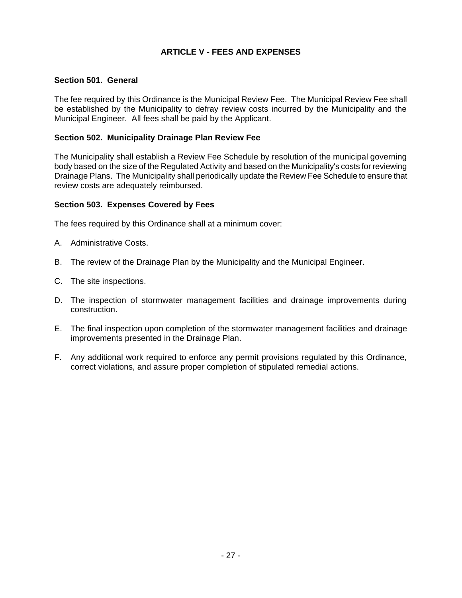# **ARTICLE V - FEES AND EXPENSES**

### **Section 501. General**

The fee required by this Ordinance is the Municipal Review Fee. The Municipal Review Fee shall be established by the Municipality to defray review costs incurred by the Municipality and the Municipal Engineer. All fees shall be paid by the Applicant.

### **Section 502. Municipality Drainage Plan Review Fee**

The Municipality shall establish a Review Fee Schedule by resolution of the municipal governing body based on the size of the Regulated Activity and based on the Municipality's costs for reviewing Drainage Plans. The Municipality shall periodically update the Review Fee Schedule to ensure that review costs are adequately reimbursed.

### **Section 503. Expenses Covered by Fees**

The fees required by this Ordinance shall at a minimum cover:

- A. Administrative Costs.
- B. The review of the Drainage Plan by the Municipality and the Municipal Engineer.
- C. The site inspections.
- D. The inspection of stormwater management facilities and drainage improvements during construction.
- E. The final inspection upon completion of the stormwater management facilities and drainage improvements presented in the Drainage Plan.
- F. Any additional work required to enforce any permit provisions regulated by this Ordinance, correct violations, and assure proper completion of stipulated remedial actions.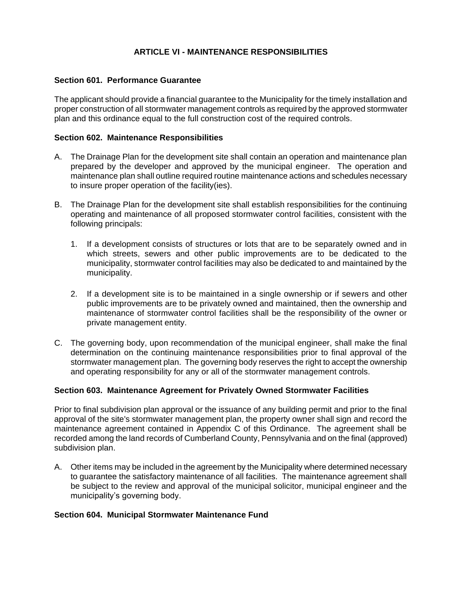## **ARTICLE VI - MAINTENANCE RESPONSIBILITIES**

#### **Section 601. Performance Guarantee**

The applicant should provide a financial guarantee to the Municipality for the timely installation and proper construction of all stormwater management controls as required by the approved stormwater plan and this ordinance equal to the full construction cost of the required controls.

#### **Section 602. Maintenance Responsibilities**

- A. The Drainage Plan for the development site shall contain an operation and maintenance plan prepared by the developer and approved by the municipal engineer. The operation and maintenance plan shall outline required routine maintenance actions and schedules necessary to insure proper operation of the facility(ies).
- B. The Drainage Plan for the development site shall establish responsibilities for the continuing operating and maintenance of all proposed stormwater control facilities, consistent with the following principals:
	- 1. If a development consists of structures or lots that are to be separately owned and in which streets, sewers and other public improvements are to be dedicated to the municipality, stormwater control facilities may also be dedicated to and maintained by the municipality.
	- 2. If a development site is to be maintained in a single ownership or if sewers and other public improvements are to be privately owned and maintained, then the ownership and maintenance of stormwater control facilities shall be the responsibility of the owner or private management entity.
- C. The governing body, upon recommendation of the municipal engineer, shall make the final determination on the continuing maintenance responsibilities prior to final approval of the stormwater management plan. The governing body reserves the right to accept the ownership and operating responsibility for any or all of the stormwater management controls.

#### **Section 603. Maintenance Agreement for Privately Owned Stormwater Facilities**

Prior to final subdivision plan approval or the issuance of any building permit and prior to the final approval of the site's stormwater management plan, the property owner shall sign and record the maintenance agreement contained in Appendix C of this Ordinance. The agreement shall be recorded among the land records of Cumberland County, Pennsylvania and on the final (approved) subdivision plan.

A. Other items may be included in the agreement by the Municipality where determined necessary to guarantee the satisfactory maintenance of all facilities. The maintenance agreement shall be subject to the review and approval of the municipal solicitor, municipal engineer and the municipality's governing body.

#### **Section 604. Municipal Stormwater Maintenance Fund**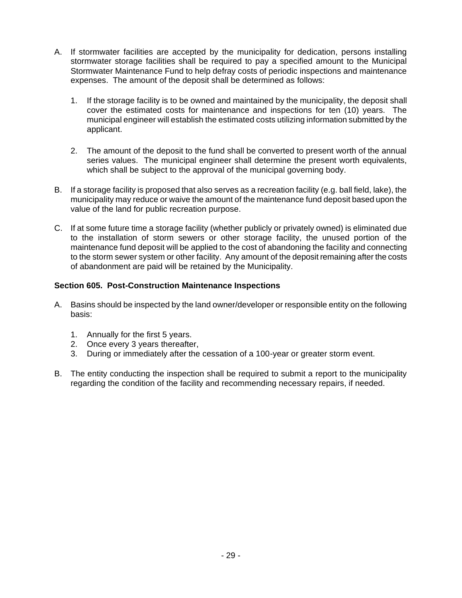- A. If stormwater facilities are accepted by the municipality for dedication, persons installing stormwater storage facilities shall be required to pay a specified amount to the Municipal Stormwater Maintenance Fund to help defray costs of periodic inspections and maintenance expenses. The amount of the deposit shall be determined as follows:
	- 1. If the storage facility is to be owned and maintained by the municipality, the deposit shall cover the estimated costs for maintenance and inspections for ten (10) years. The municipal engineer will establish the estimated costs utilizing information submitted by the applicant.
	- 2. The amount of the deposit to the fund shall be converted to present worth of the annual series values. The municipal engineer shall determine the present worth equivalents, which shall be subject to the approval of the municipal governing body.
- B. If a storage facility is proposed that also serves as a recreation facility (e.g. ball field, lake), the municipality may reduce or waive the amount of the maintenance fund deposit based upon the value of the land for public recreation purpose.
- C. If at some future time a storage facility (whether publicly or privately owned) is eliminated due to the installation of storm sewers or other storage facility, the unused portion of the maintenance fund deposit will be applied to the cost of abandoning the facility and connecting to the storm sewer system or other facility. Any amount of the deposit remaining after the costs of abandonment are paid will be retained by the Municipality.

## **Section 605. Post-Construction Maintenance Inspections**

- A. Basins should be inspected by the land owner/developer or responsible entity on the following basis:
	- 1. Annually for the first 5 years.
	- 2. Once every 3 years thereafter,
	- 3. During or immediately after the cessation of a 100-year or greater storm event.
- B. The entity conducting the inspection shall be required to submit a report to the municipality regarding the condition of the facility and recommending necessary repairs, if needed.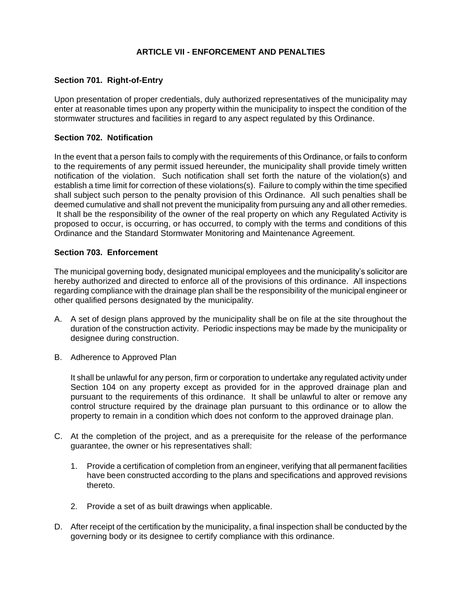## **ARTICLE VII - ENFORCEMENT AND PENALTIES**

#### **Section 701. Right-of-Entry**

Upon presentation of proper credentials, duly authorized representatives of the municipality may enter at reasonable times upon any property within the municipality to inspect the condition of the stormwater structures and facilities in regard to any aspect regulated by this Ordinance.

#### **Section 702. Notification**

In the event that a person fails to comply with the requirements of this Ordinance, or fails to conform to the requirements of any permit issued hereunder, the municipality shall provide timely written notification of the violation. Such notification shall set forth the nature of the violation(s) and establish a time limit for correction of these violations(s). Failure to comply within the time specified shall subject such person to the penalty provision of this Ordinance. All such penalties shall be deemed cumulative and shall not prevent the municipality from pursuing any and all other remedies. It shall be the responsibility of the owner of the real property on which any Regulated Activity is proposed to occur, is occurring, or has occurred, to comply with the terms and conditions of this Ordinance and the Standard Stormwater Monitoring and Maintenance Agreement.

#### **Section 703. Enforcement**

The municipal governing body, designated municipal employees and the municipality's solicitor are hereby authorized and directed to enforce all of the provisions of this ordinance. All inspections regarding compliance with the drainage plan shall be the responsibility of the municipal engineer or other qualified persons designated by the municipality.

- A. A set of design plans approved by the municipality shall be on file at the site throughout the duration of the construction activity. Periodic inspections may be made by the municipality or designee during construction.
- B. Adherence to Approved Plan

It shall be unlawful for any person, firm or corporation to undertake any regulated activity under Section 104 on any property except as provided for in the approved drainage plan and pursuant to the requirements of this ordinance. It shall be unlawful to alter or remove any control structure required by the drainage plan pursuant to this ordinance or to allow the property to remain in a condition which does not conform to the approved drainage plan.

- C. At the completion of the project, and as a prerequisite for the release of the performance guarantee, the owner or his representatives shall:
	- 1. Provide a certification of completion from an engineer, verifying that all permanent facilities have been constructed according to the plans and specifications and approved revisions thereto.
	- 2. Provide a set of as built drawings when applicable.
- D. After receipt of the certification by the municipality, a final inspection shall be conducted by the governing body or its designee to certify compliance with this ordinance.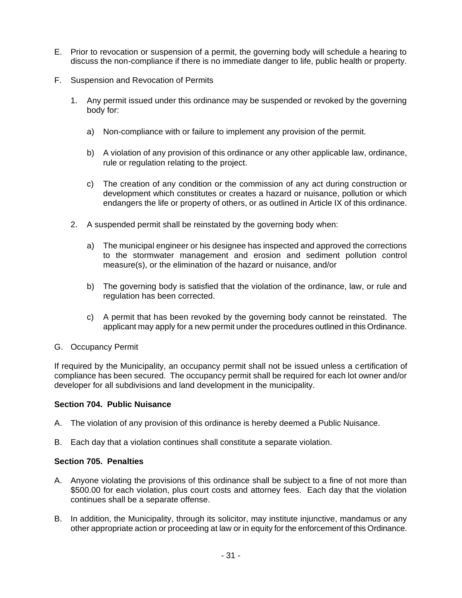- E. Prior to revocation or suspension of a permit, the governing body will schedule a hearing to discuss the non-compliance if there is no immediate danger to life, public health or property.
- F. Suspension and Revocation of Permits
	- 1. Any permit issued under this ordinance may be suspended or revoked by the governing body for:
		- a) Non-compliance with or failure to implement any provision of the permit.
		- b) A violation of any provision of this ordinance or any other applicable law, ordinance, rule or regulation relating to the project.
		- c) The creation of any condition or the commission of any act during construction or development which constitutes or creates a hazard or nuisance, pollution or which endangers the life or property of others, or as outlined in Article IX of this ordinance.
	- 2. A suspended permit shall be reinstated by the governing body when:
		- a) The municipal engineer or his designee has inspected and approved the corrections to the stormwater management and erosion and sediment pollution control measure(s), or the elimination of the hazard or nuisance, and/or
		- b) The governing body is satisfied that the violation of the ordinance, law, or rule and regulation has been corrected.
		- c) A permit that has been revoked by the governing body cannot be reinstated. The applicant may apply for a new permit under the procedures outlined in this Ordinance.
- G. Occupancy Permit

If required by the Municipality, an occupancy permit shall not be issued unless a certification of compliance has been secured. The occupancy permit shall be required for each lot owner and/or developer for all subdivisions and land development in the municipality.

#### **Section 704. Public Nuisance**

- A. The violation of any provision of this ordinance is hereby deemed a Public Nuisance.
- B. Each day that a violation continues shall constitute a separate violation.

### **Section 705. Penalties**

- A. Anyone violating the provisions of this ordinance shall be subject to a fine of not more than \$500.00 for each violation, plus court costs and attorney fees. Each day that the violation continues shall be a separate offense.
- B. In addition, the Municipality, through its solicitor, may institute injunctive, mandamus or any other appropriate action or proceeding at law or in equity for the enforcement of this Ordinance.